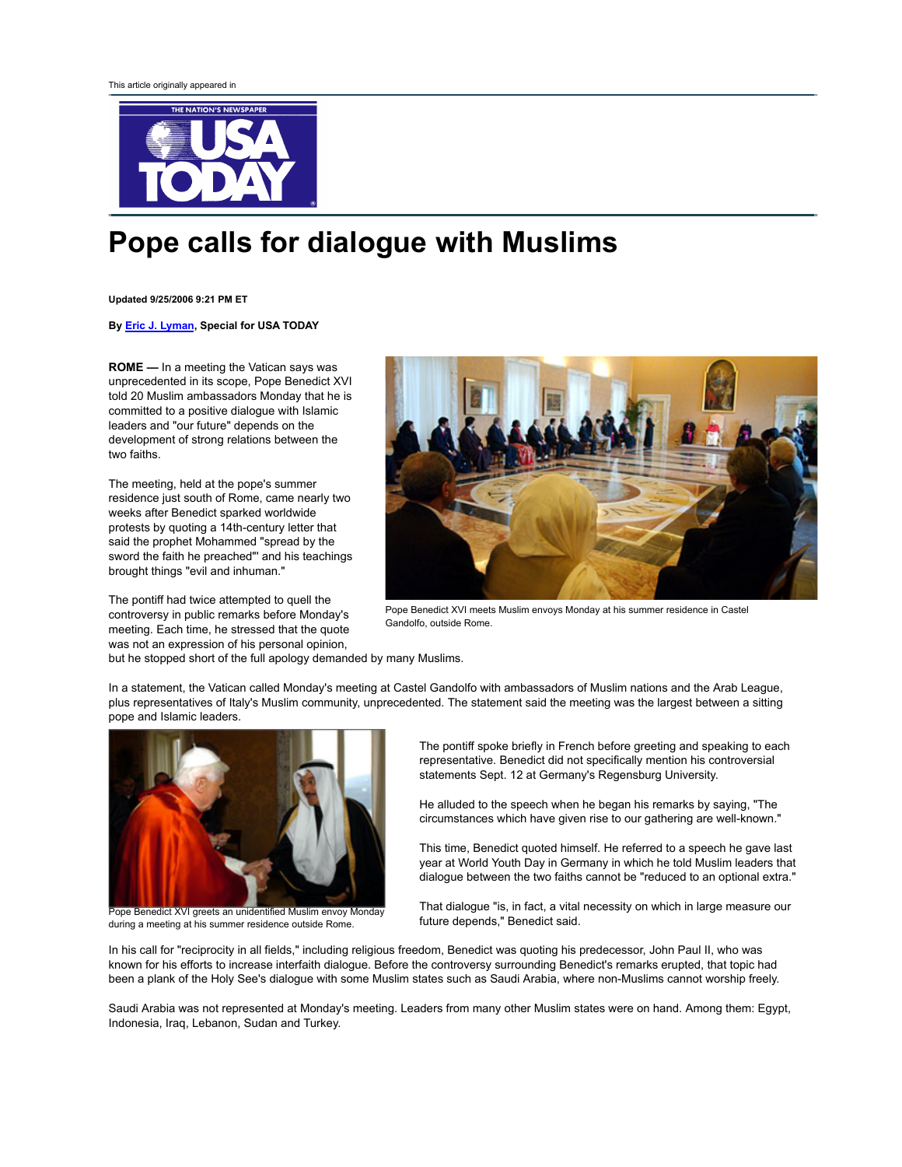

## **Pope calls for dialogue with Muslims**

**Updated 9/25/2006 9:21 PM ET**

**By Eric J. Lyman, Special for USA TODAY**

**ROME —** In a meeting the Vatican says was unprecedented in its scope, Pope Benedict XVI told 20 Muslim ambassadors Monday that he is committed to a positive dialogue with Islamic leaders and "our future" depends on the development of strong relations between the two faiths.

The meeting, held at the pope's summer residence just south of Rome, came nearly two weeks after Benedict sparked worldwide protests by quoting a 14th-century letter that said the prophet Mohammed "spread by the sword the faith he preached"' and his teachings brought things "evil and inhuman."

The pontiff had twice attempted to quell the controversy in public remarks before Monday's meeting. Each time, he stressed that the quote was not an expression of his personal opinion,

Pope Benedict XVI meets Muslim envoys Monday at his summer residence in Castel Gandolfo, outside Rome.

but he stopped short of the full apology demanded by many Muslims.

In a statement, the Vatican called Monday's meeting at Castel Gandolfo with ambassadors of Muslim nations and the Arab League, plus representatives of Italy's Muslim community, unprecedented. The statement said the meeting was the largest between a sitting pope and Islamic leaders.



Pope Benedict XVI greets an unidentified Muslim envoy Monday during a meeting at his summer residence outside Rome.

The pontiff spoke briefly in French before greeting and speaking to each representative. Benedict did not specifically mention his controversial statements Sept. 12 at Germany's Regensburg University.

He alluded to the speech when he began his remarks by saying, "The circumstances which have given rise to our gathering are well-known."

This time, Benedict quoted himself. He referred to a speech he gave last year at World Youth Day in Germany in which he told Muslim leaders that dialogue between the two faiths cannot be "reduced to an optional extra."

That dialogue "is, in fact, a vital necessity on which in large measure our future depends," Benedict said.

In his call for "reciprocity in all fields," including religious freedom, Benedict was quoting his predecessor, John Paul II, who was known for his efforts to increase interfaith dialogue. Before the controversy surrounding Benedict's remarks erupted, that topic had been a plank of the Holy See's dialogue with some Muslim states such as Saudi Arabia, where non-Muslims cannot worship freely.

Saudi Arabia was not represented at Monday's meeting. Leaders from many other Muslim states were on hand. Among them: Egypt, Indonesia, Iraq, Lebanon, Sudan and Turkey.